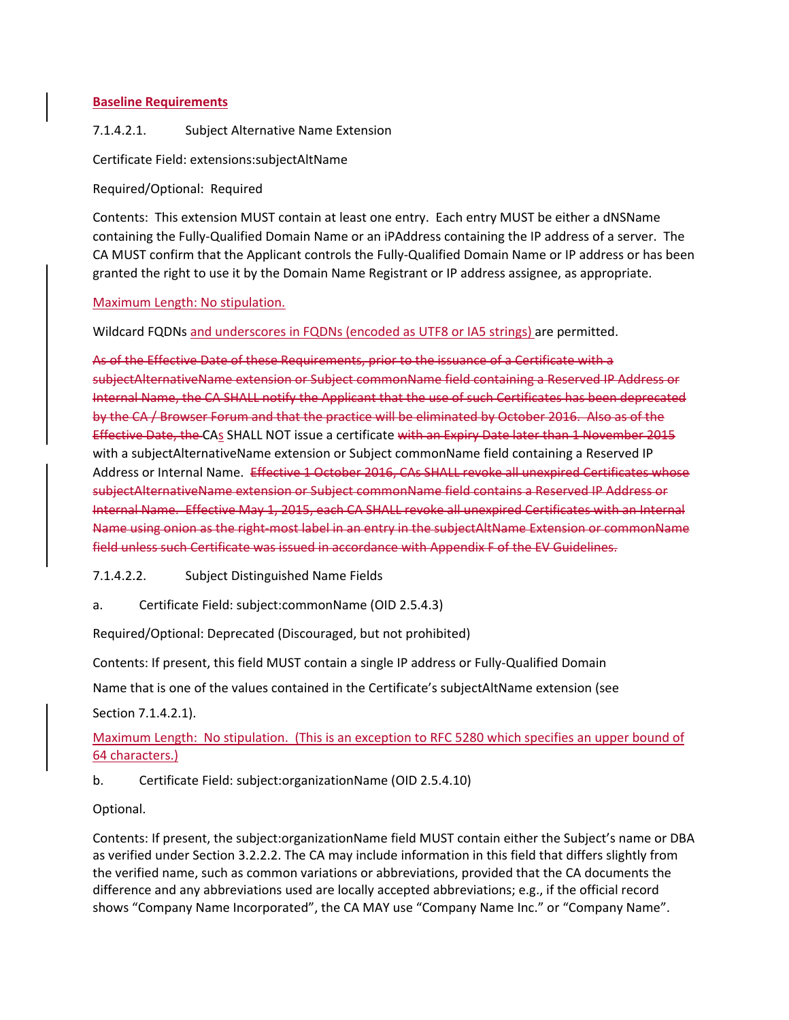### **Baseline Requirements**

# 7.1.4.2.1. Subject Alternative Name Extension

# Certificate Field: extensions:subjectAltName

Required/Optional: Required

Contents: This extension MUST contain at least one entry. Each entry MUST be either a dNSName containing the Fully‐Qualified Domain Name or an iPAddress containing the IP address of a server. The CA MUST confirm that the Applicant controls the Fully‐Qualified Domain Name or IP address or has been granted the right to use it by the Domain Name Registrant or IP address assignee, as appropriate.

Maximum Length: No stipulation.

Wildcard FQDNs and underscores in FQDNs (encoded as UTF8 or IA5 strings) are permitted.

As of the Effective Date of these Requirements, prior to the issuance of a Certificate with a subjectAlternativeName extension or Subject commonName field containing a Reserved IP Address or Internal Name, the CA SHALL notify the Applicant that the use of such Certificates has been deprecated by the CA / Browser Forum and that the practice will be eliminated by October 2016. Also as of the Effective Date, the CAs SHALL NOT issue a certificate with an Expiry Date later than 1 November 2015 with a subjectAlternativeName extension or Subject commonName field containing a Reserved IP Address or Internal Name. Effective 1 October 2016, CAs SHALL revoke all unexpired Certificates whose subjectAlternativeName extension or Subject commonName field contains a Reserved IP Address or Internal Name. Effective May 1, 2015, each CA SHALL revoke all unexpired Certificates with an Internal Name using onion as the right most label in an entry in the subjectAltName Extension or commonName field unless such Certificate was issued in accordance with Appendix F of the EV Guidelines.

7.1.4.2.2. Subject Distinguished Name Fields

a. Certificate Field: subject:commonName (OID 2.5.4.3)

Required/Optional: Deprecated (Discouraged, but not prohibited)

Contents: If present, this field MUST contain a single IP address or Fully‐Qualified Domain

Name that is one of the values contained in the Certificate's subjectAltName extension (see

Section 7.1.4.2.1).

# Maximum Length: No stipulation. (This is an exception to RFC 5280 which specifies an upper bound of 64 characters.)

b. Certificate Field: subject:organizationName (OID 2.5.4.10)

Optional.

Contents: If present, the subject:organizationName field MUST contain either the Subject's name or DBA as verified under Section 3.2.2.2. The CA may include information in this field that differs slightly from the verified name, such as common variations or abbreviations, provided that the CA documents the difference and any abbreviations used are locally accepted abbreviations; e.g., if the official record shows "Company Name Incorporated", the CA MAY use "Company Name Inc." or "Company Name".